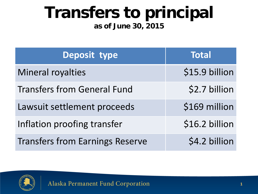## **Transfers to principal**

#### **as of June 30, 2015**

| Deposit type                           | <b>Total</b>   |
|----------------------------------------|----------------|
| Mineral royalties                      | \$15.9 billion |
| <b>Transfers from General Fund</b>     | \$2.7 billion  |
| Lawsuit settlement proceeds            | \$169 million  |
| Inflation proofing transfer            | \$16.2 billion |
| <b>Transfers from Earnings Reserve</b> | \$4.2 billion  |

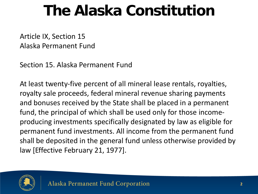### **The Alaska Constitution**

Article IX, Section 15 Alaska Permanent Fund

Section 15. Alaska Permanent Fund

At least twenty-five percent of all mineral lease rentals, royalties, royalty sale proceeds, federal mineral revenue sharing payments and bonuses received by the State shall be placed in a permanent fund, the principal of which shall be used only for those incomeproducing investments specifically designated by law as eligible for permanent fund investments. All income from the permanent fund shall be deposited in the general fund unless otherwise provided by law [Effective February 21, 1977].

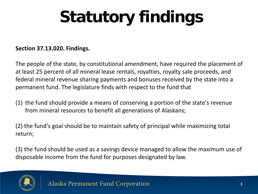# **Statutory findings**

#### **Section 37.13.020. Findings.**

The people of the state, by constitutional amendment, have required the placement of at least 25 percent of all mineral lease rentals, royalties, royalty sale proceeds, and federal mineral revenue sharing payments and bonuses received by the state into a permanent fund. The legislature finds with respect to the fund that

(1) the fund should provide a means of conserving a portion of the state's revenue from mineral resources to benefit all generations of Alaskans;

(2) the fund's goal should be to maintain safety of principal while maximizing total return;

(3) the fund should be used as a savings device managed to allow the maximum use of disposable income from the fund for purposes designated by law.